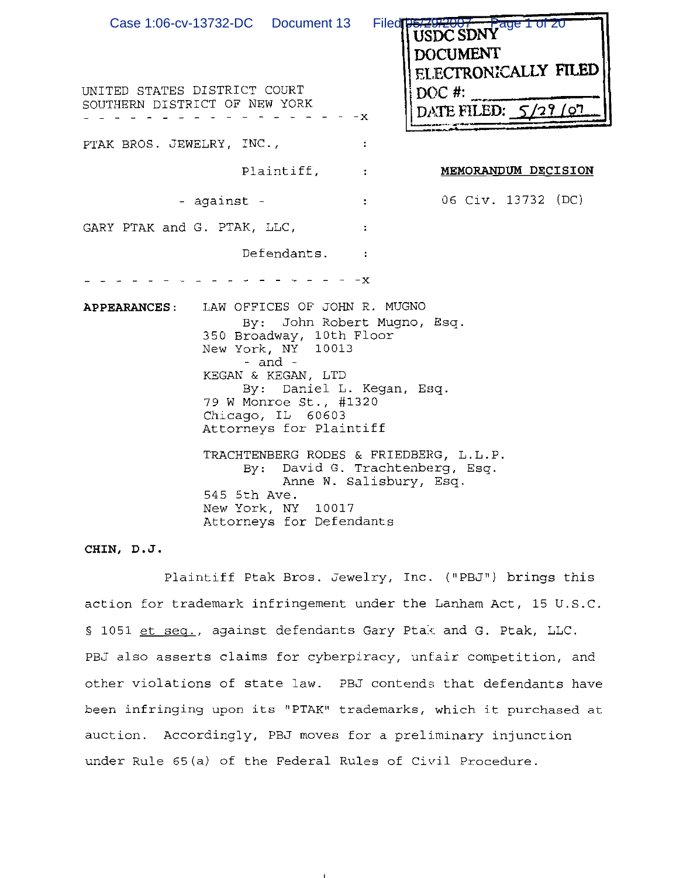| Case 1:06-cv-13732-DC  Document 13<br>UNITED STATES DISTRICT COURT<br>SOUTHERN DISTRICT OF NEW YORK | ٠x                                                                                                                                                                                                                                                                               | Filed 05/2<br>$7a$ ge 1 of 20<br>ac SDN Y<br><b>DOCUMENT</b><br>ELECTRONICALLY FILED<br>$DOC \#$ :<br>DATE FILED: 5/29/             |
|-----------------------------------------------------------------------------------------------------|----------------------------------------------------------------------------------------------------------------------------------------------------------------------------------------------------------------------------------------------------------------------------------|-------------------------------------------------------------------------------------------------------------------------------------|
| PTAK BROS. JEWELRY, INC.,                                                                           |                                                                                                                                                                                                                                                                                  |                                                                                                                                     |
|                                                                                                     | Plaintiff,                                                                                                                                                                                                                                                                       | MEMORANDUM DECISION<br>$\ddot{\phantom{a}}$                                                                                         |
| - against -                                                                                         |                                                                                                                                                                                                                                                                                  | 06 Civ. 13732 (DC)<br>÷                                                                                                             |
| GARY PTAK and G. PTAK, LLC,                                                                         |                                                                                                                                                                                                                                                                                  | ÷                                                                                                                                   |
|                                                                                                     | Defendants.                                                                                                                                                                                                                                                                      |                                                                                                                                     |
| <b>APPEARANCES:</b><br>545 5th Ave.                                                                 | -x<br>LAW OFFICES OF JOHN R. MUGNO<br>350 Broadway, 10th Floor<br>New York, NY 10013<br>- $and$ -<br>KEGAN & KEGAN, LTD<br>By: Daniel L. Kegan, Esq.<br>79 W Monroe St., #1320<br>Chicago, IL 60603<br>Attorneys for Plaintiff<br>New York, NY 10017<br>Attorneys for Defendants | By: John Robert Mugno, Esq.<br>TRACHTENBERG RODES & FRIEDBERG, L.L.P.<br>By: David G. Trachtenberg, Esq.<br>Anne W. Salisbury, Esq. |

## CHIN, D.J.

Plaintiff Ptak Bros. Jewelry, Inc. ("PBJ") brings this action for trademark infringement under the Lanham Act, 15 U.S.C. § 1051 et seq., against defendants Gary Ptak and G. Ptak, LLC. PBJ also asserts claims for cyberpiracy, unfair competition, and other violations of state law. PBJ contends that defendants have been infringing upon its "PTAK" trademarks, which it purchased at auction. Accordingly, PBJ moves for a preliminary injunction under Rule 65(a) of the Federal Rules of Civil Procedure.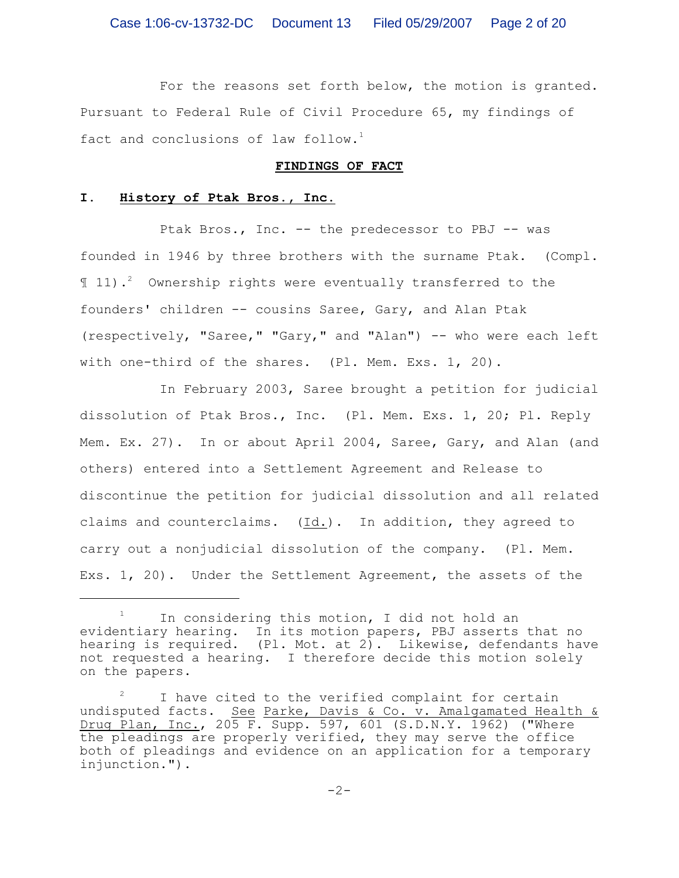For the reasons set forth below, the motion is granted. Pursuant to Federal Rule of Civil Procedure 65, my findings of fact and conclusions of law follow.<sup>1</sup>

### **FINDINGS OF FACT**

## **I. History of Ptak Bros., Inc.**

Ptak Bros., Inc. -- the predecessor to PBJ -- was founded in 1946 by three brothers with the surname Ptak. (Compl. ¶ 11). Ownership rights were eventually transferred to the <sup>2</sup> founders' children -- cousins Saree, Gary, and Alan Ptak (respectively, "Saree," "Gary," and "Alan") -- who were each left with one-third of the shares. (Pl. Mem. Exs. 1, 20).

In February 2003, Saree brought a petition for judicial dissolution of Ptak Bros., Inc. (Pl. Mem. Exs. 1, 20; Pl. Reply Mem. Ex. 27). In or about April 2004, Saree, Gary, and Alan (and others) entered into a Settlement Agreement and Release to discontinue the petition for judicial dissolution and all related claims and counterclaims. (Id.). In addition, they agreed to carry out a nonjudicial dissolution of the company. (Pl. Mem. Exs. 1, 20). Under the Settlement Agreement, the assets of the

In considering this motion, I did not hold an evidentiary hearing. In its motion papers, PBJ asserts that no hearing is required. (Pl. Mot. at 2). Likewise, defendants have not requested a hearing. I therefore decide this motion solely on the papers.

I have cited to the verified complaint for certain <sup>2</sup> undisputed facts. See Parke, Davis & Co. v. Amalgamated Health & Drug Plan, Inc., 205 F. Supp. 597, 601 (S.D.N.Y. 1962) ("Where the pleadings are properly verified, they may serve the office both of pleadings and evidence on an application for a temporary injunction.").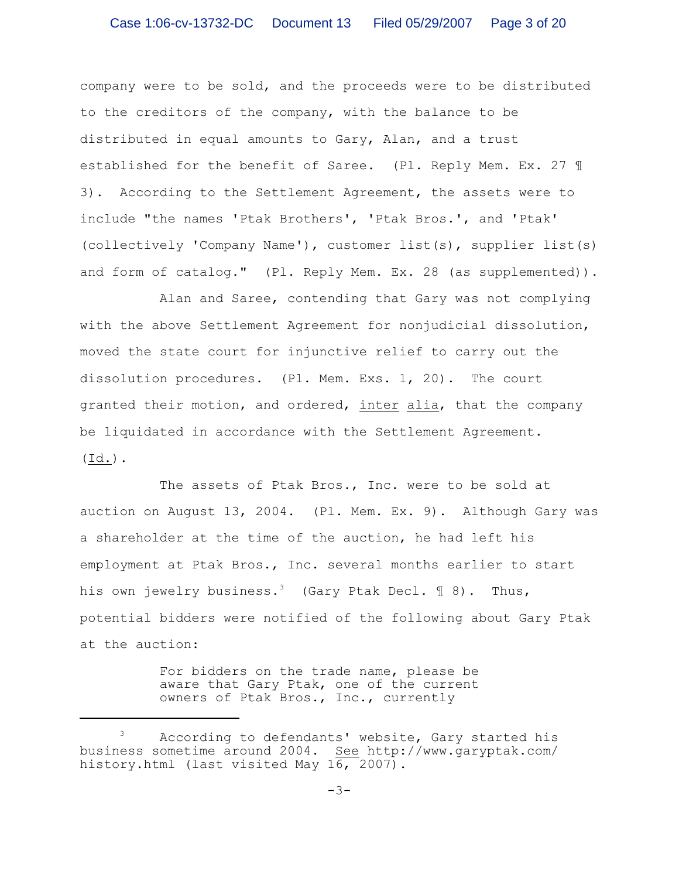company were to be sold, and the proceeds were to be distributed to the creditors of the company, with the balance to be distributed in equal amounts to Gary, Alan, and a trust established for the benefit of Saree. (Pl. Reply Mem. Ex. 27 ¶ 3). According to the Settlement Agreement, the assets were to include "the names 'Ptak Brothers', 'Ptak Bros.', and 'Ptak' (collectively 'Company Name'), customer list(s), supplier list(s) and form of catalog." (Pl. Reply Mem. Ex. 28 (as supplemented)).

Alan and Saree, contending that Gary was not complying with the above Settlement Agreement for nonjudicial dissolution, moved the state court for injunctive relief to carry out the dissolution procedures. (Pl. Mem. Exs. 1, 20). The court granted their motion, and ordered, inter alia, that the company be liquidated in accordance with the Settlement Agreement. (Id.).

The assets of Ptak Bros., Inc. were to be sold at auction on August 13, 2004. (Pl. Mem. Ex. 9). Although Gary was a shareholder at the time of the auction, he had left his employment at Ptak Bros., Inc. several months earlier to start his own jewelry business.<sup>3</sup> (Gary Ptak Decl.  $\mathbb{I}$  8). Thus, potential bidders were notified of the following about Gary Ptak at the auction:

> For bidders on the trade name, please be aware that Gary Ptak, one of the current owners of Ptak Bros., Inc., currently

<sup>&</sup>lt;sup>3</sup> According to defendants' website, Gary started his business sometime around 2004. See http://www.garyptak.com/ history.html (last visited May 16, 2007).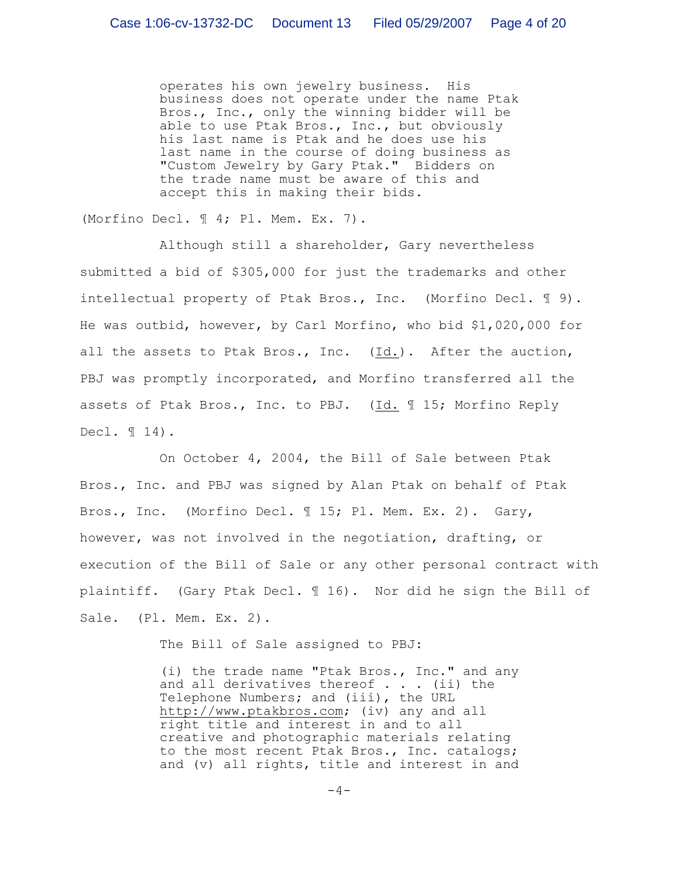operates his own jewelry business. His business does not operate under the name Ptak Bros., Inc., only the winning bidder will be able to use Ptak Bros., Inc., but obviously his last name is Ptak and he does use his last name in the course of doing business as "Custom Jewelry by Gary Ptak." Bidders on the trade name must be aware of this and accept this in making their bids.

(Morfino Decl. ¶ 4; Pl. Mem. Ex. 7).

Although still a shareholder, Gary nevertheless submitted a bid of \$305,000 for just the trademarks and other intellectual property of Ptak Bros., Inc. (Morfino Decl. ¶ 9). He was outbid, however, by Carl Morfino, who bid \$1,020,000 for all the assets to Ptak Bros., Inc. (Id.). After the auction, PBJ was promptly incorporated, and Morfino transferred all the assets of Ptak Bros., Inc. to PBJ. (Id. ¶ 15; Morfino Reply Decl. ¶ 14).

On October 4, 2004, the Bill of Sale between Ptak Bros., Inc. and PBJ was signed by Alan Ptak on behalf of Ptak Bros., Inc. (Morfino Decl. ¶ 15; Pl. Mem. Ex. 2). Gary, however, was not involved in the negotiation, drafting, or execution of the Bill of Sale or any other personal contract with plaintiff. (Gary Ptak Decl. ¶ 16). Nor did he sign the Bill of Sale. (Pl. Mem. Ex. 2).

The Bill of Sale assigned to PBJ:

(i) the trade name "Ptak Bros., Inc." and any and all derivatives thereof  $\cdot$  . . (ii) the Telephone Numbers; and (iii), the URL http://www.ptakbros.com; (iv) any and all right title and interest in and to all creative and photographic materials relating to the most recent Ptak Bros., Inc. catalogs; and (v) all rights, title and interest in and

 $-4-$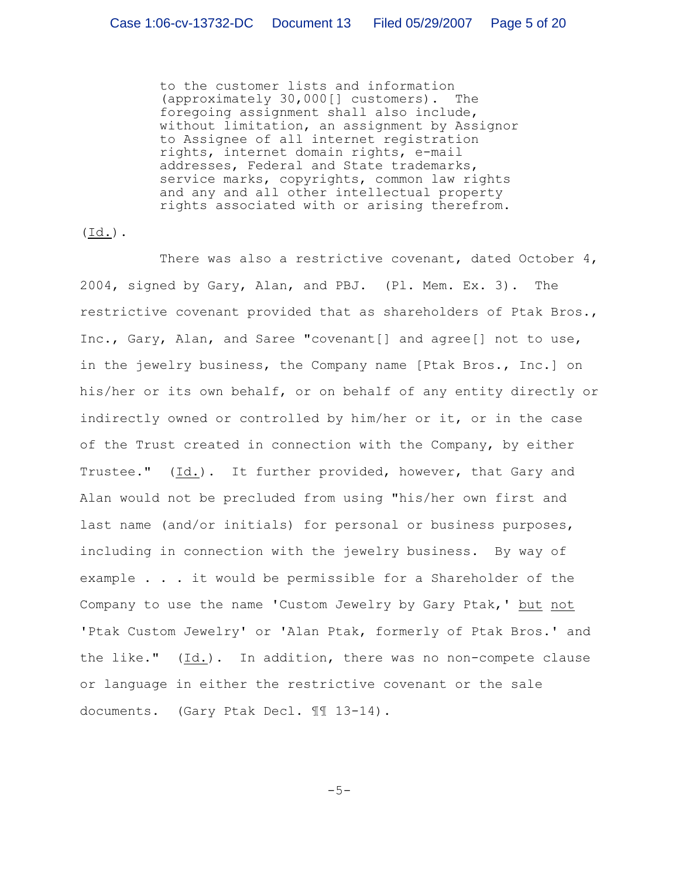to the customer lists and information (approximately 30,000[] customers). The foregoing assignment shall also include, without limitation, an assignment by Assignor to Assignee of all internet registration rights, internet domain rights, e-mail addresses, Federal and State trademarks, service marks, copyrights, common law rights and any and all other intellectual property rights associated with or arising therefrom.

 $(\text{Id.})$ .

There was also a restrictive covenant, dated October  $4$ , 2004, signed by Gary, Alan, and PBJ. (Pl. Mem. Ex. 3). The restrictive covenant provided that as shareholders of Ptak Bros., Inc., Gary, Alan, and Saree "covenant[] and agree[] not to use, in the jewelry business, the Company name [Ptak Bros., Inc.] on his/her or its own behalf, or on behalf of any entity directly or indirectly owned or controlled by him/her or it, or in the case of the Trust created in connection with the Company, by either Trustee." (Id.). It further provided, however, that Gary and Alan would not be precluded from using "his/her own first and last name (and/or initials) for personal or business purposes, including in connection with the jewelry business. By way of example . . . it would be permissible for a Shareholder of the Company to use the name 'Custom Jewelry by Gary Ptak,' but not 'Ptak Custom Jewelry' or 'Alan Ptak, formerly of Ptak Bros.' and the like." (Id.). In addition, there was no non-compete clause or language in either the restrictive covenant or the sale documents. (Gary Ptak Decl. ¶¶ 13-14).

 $-5-$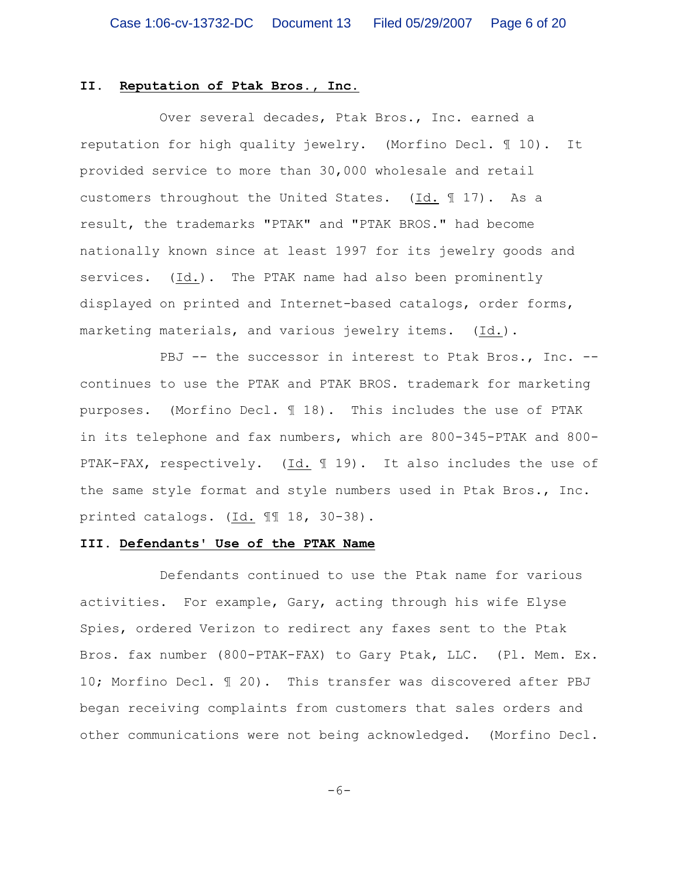#### **II. Reputation of Ptak Bros., Inc.**

Over several decades, Ptak Bros., Inc. earned a reputation for high quality jewelry. (Morfino Decl. ¶ 10). It provided service to more than 30,000 wholesale and retail customers throughout the United States. (Id. ¶ 17). As a result, the trademarks "PTAK" and "PTAK BROS." had become nationally known since at least 1997 for its jewelry goods and services. (Id.). The PTAK name had also been prominently displayed on printed and Internet-based catalogs, order forms, marketing materials, and various jewelry items. (Id.).

PBJ -- the successor in interest to Ptak Bros., Inc. -continues to use the PTAK and PTAK BROS. trademark for marketing purposes. (Morfino Decl. ¶ 18). This includes the use of PTAK in its telephone and fax numbers, which are 800-345-PTAK and 800- PTAK-FAX, respectively. (Id. 19). It also includes the use of the same style format and style numbers used in Ptak Bros., Inc. printed catalogs. (Id. ¶¶ 18, 30-38).

### **III. Defendants' Use of the PTAK Name**

Defendants continued to use the Ptak name for various activities. For example, Gary, acting through his wife Elyse Spies, ordered Verizon to redirect any faxes sent to the Ptak Bros. fax number (800-PTAK-FAX) to Gary Ptak, LLC. (Pl. Mem. Ex. 10; Morfino Decl. ¶ 20). This transfer was discovered after PBJ began receiving complaints from customers that sales orders and other communications were not being acknowledged. (Morfino Decl.

 $-6-$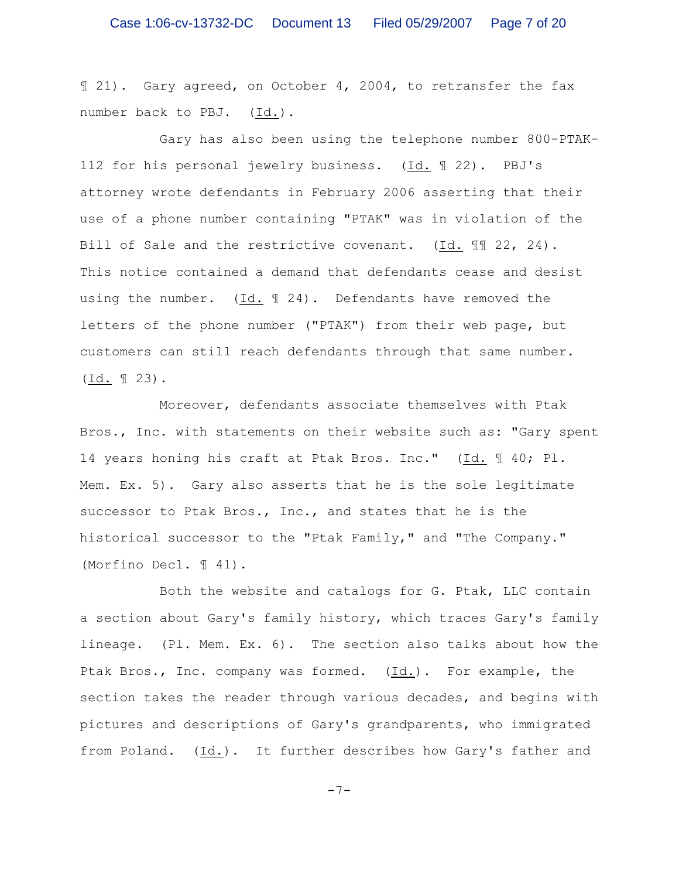¶ 21). Gary agreed, on October 4, 2004, to retransfer the fax number back to PBJ. (Id.).

Gary has also been using the telephone number 800-PTAK-112 for his personal jewelry business. (Id. ¶ 22). PBJ's attorney wrote defendants in February 2006 asserting that their use of a phone number containing "PTAK" was in violation of the Bill of Sale and the restrictive covenant. (Id. ¶¶ 22, 24). This notice contained a demand that defendants cease and desist using the number.  $(Id. \mathcal{F} 24)$ . Defendants have removed the letters of the phone number ("PTAK") from their web page, but customers can still reach defendants through that same number. (Id. ¶ 23).

Moreover, defendants associate themselves with Ptak Bros., Inc. with statements on their website such as: "Gary spent 14 years honing his craft at Ptak Bros. Inc." (Id. ¶ 40; Pl. Mem. Ex. 5). Gary also asserts that he is the sole legitimate successor to Ptak Bros., Inc., and states that he is the historical successor to the "Ptak Family," and "The Company." (Morfino Decl. ¶ 41).

Both the website and catalogs for G. Ptak, LLC contain a section about Gary's family history, which traces Gary's family lineage. (Pl. Mem. Ex. 6). The section also talks about how the Ptak Bros., Inc. company was formed. (Id.). For example, the section takes the reader through various decades, and begins with pictures and descriptions of Gary's grandparents, who immigrated from Poland. (Id.). It further describes how Gary's father and

-7-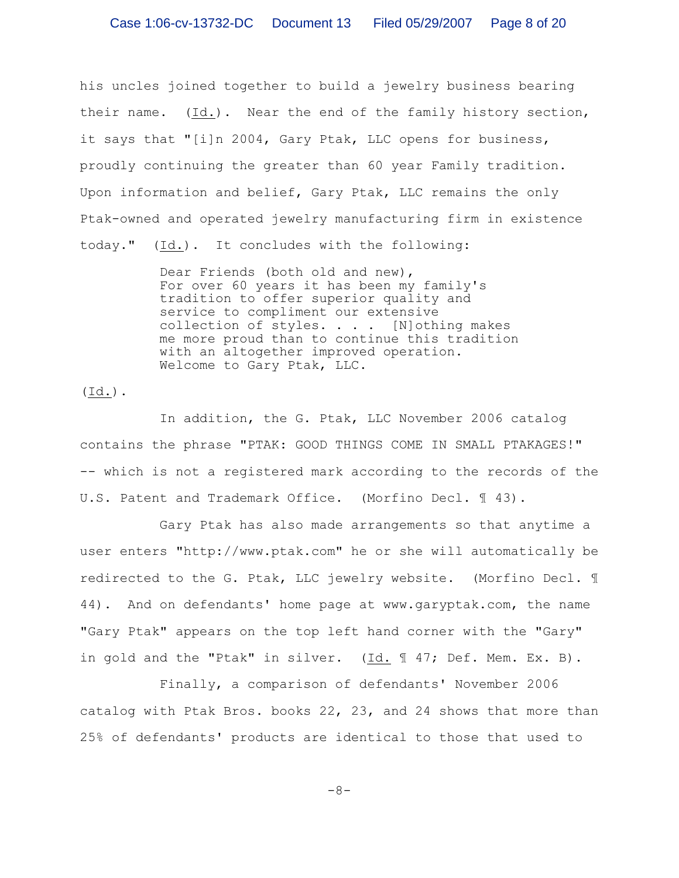his uncles joined together to build a jewelry business bearing their name. (Id.). Near the end of the family history section, it says that "[i]n 2004, Gary Ptak, LLC opens for business, proudly continuing the greater than 60 year Family tradition. Upon information and belief, Gary Ptak, LLC remains the only Ptak-owned and operated jewelry manufacturing firm in existence today." (Id.). It concludes with the following:

> Dear Friends (both old and new), For over 60 years it has been my family's tradition to offer superior quality and service to compliment our extensive collection of styles. . . . [N]othing makes me more proud than to continue this tradition with an altogether improved operation. Welcome to Gary Ptak, LLC.

 $(\text{Id.})$ .

In addition, the G. Ptak, LLC November 2006 catalog contains the phrase "PTAK: GOOD THINGS COME IN SMALL PTAKAGES!" -- which is not a registered mark according to the records of the U.S. Patent and Trademark Office. (Morfino Decl. ¶ 43).

Gary Ptak has also made arrangements so that anytime a user enters "http://www.ptak.com" he or she will automatically be redirected to the G. Ptak, LLC jewelry website. (Morfino Decl. ¶ 44). And on defendants' home page at www.garyptak.com, the name "Gary Ptak" appears on the top left hand corner with the "Gary" in gold and the "Ptak" in silver. (Id. 1 47; Def. Mem. Ex. B).

Finally, a comparison of defendants' November 2006 catalog with Ptak Bros. books 22, 23, and 24 shows that more than 25% of defendants' products are identical to those that used to

-8-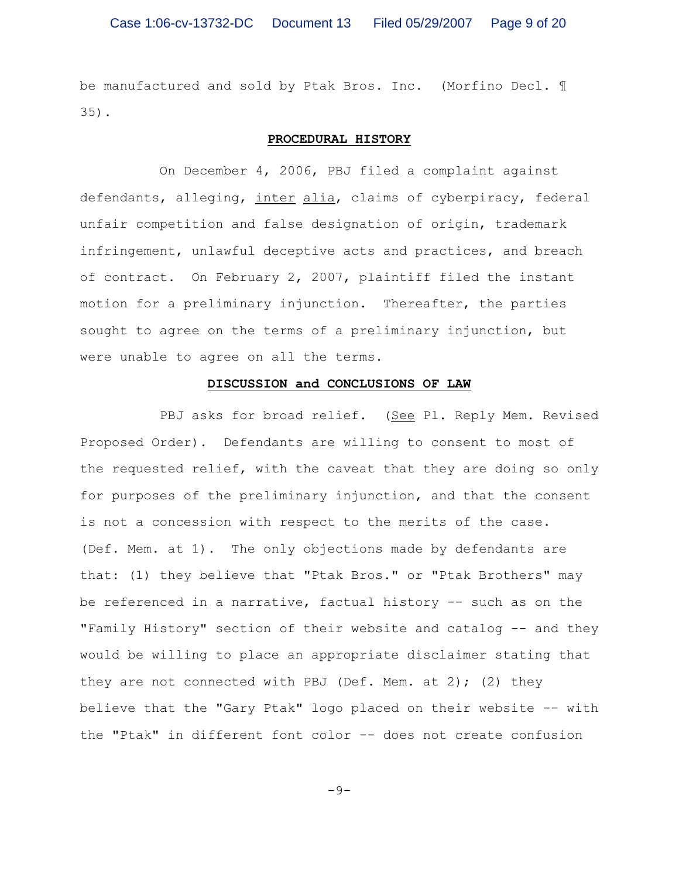be manufactured and sold by Ptak Bros. Inc. (Morfino Decl. ¶ 35).

#### **PROCEDURAL HISTORY**

On December 4, 2006, PBJ filed a complaint against defendants, alleging, inter alia, claims of cyberpiracy, federal unfair competition and false designation of origin, trademark infringement, unlawful deceptive acts and practices, and breach of contract. On February 2, 2007, plaintiff filed the instant motion for a preliminary injunction. Thereafter, the parties sought to agree on the terms of a preliminary injunction, but were unable to agree on all the terms.

### **DISCUSSION and CONCLUSIONS OF LAW**

PBJ asks for broad relief. (See Pl. Reply Mem. Revised Proposed Order). Defendants are willing to consent to most of the requested relief, with the caveat that they are doing so only for purposes of the preliminary injunction, and that the consent is not a concession with respect to the merits of the case. (Def. Mem. at 1). The only objections made by defendants are that: (1) they believe that "Ptak Bros." or "Ptak Brothers" may be referenced in a narrative, factual history -- such as on the "Family History" section of their website and catalog -- and they would be willing to place an appropriate disclaimer stating that they are not connected with PBJ (Def. Mem. at 2); (2) they believe that the "Gary Ptak" logo placed on their website -- with the "Ptak" in different font color -- does not create confusion

 $-9-$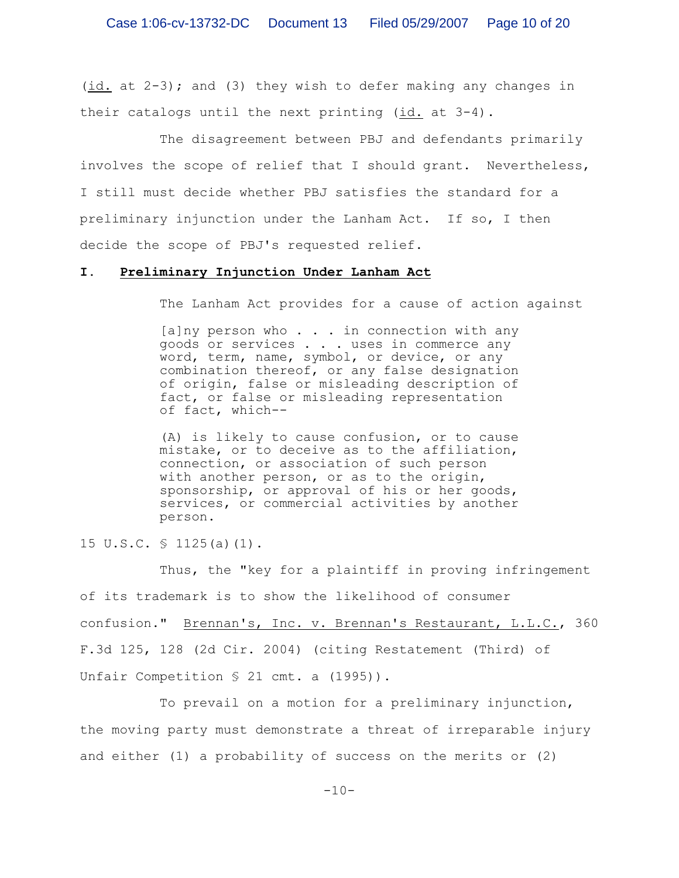(id. at 2-3); and (3) they wish to defer making any changes in their catalogs until the next printing (id. at 3-4).

The disagreement between PBJ and defendants primarily involves the scope of relief that I should grant. Nevertheless, I still must decide whether PBJ satisfies the standard for a preliminary injunction under the Lanham Act. If so, I then decide the scope of PBJ's requested relief.

#### **I. Preliminary Injunction Under Lanham Act**

The Lanham Act provides for a cause of action against

[a]ny person who . . . in connection with any goods or services . . . uses in commerce any word, term, name, symbol, or device, or any combination thereof, or any false designation of origin, false or misleading description of fact, or false or misleading representation of fact, which--

(A) is likely to cause confusion, or to cause mistake, or to deceive as to the affiliation, connection, or association of such person with another person, or as to the origin, sponsorship, or approval of his or her goods, services, or commercial activities by another person.

15 U.S.C. § 1125(a)(1).

Thus, the "key for a plaintiff in proving infringement of its trademark is to show the likelihood of consumer confusion." Brennan's, Inc. v. Brennan's Restaurant, L.L.C., 360 F.3d 125, 128 (2d Cir. 2004) (citing Restatement (Third) of Unfair Competition § 21 cmt. a (1995)).

To prevail on a motion for a preliminary injunction, the moving party must demonstrate a threat of irreparable injury and either (1) a probability of success on the merits or (2)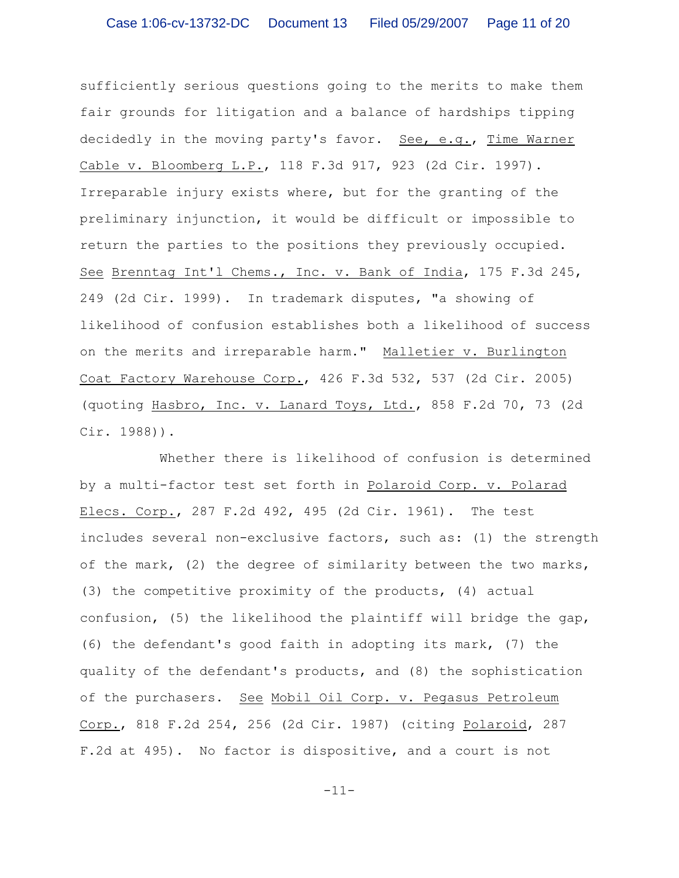sufficiently serious questions going to the merits to make them fair grounds for litigation and a balance of hardships tipping decidedly in the moving party's favor. See, e.g., Time Warner Cable v. Bloomberg L.P., 118 F.3d 917, 923 (2d Cir. 1997). Irreparable injury exists where, but for the granting of the preliminary injunction, it would be difficult or impossible to return the parties to the positions they previously occupied. See Brenntag Int'l Chems., Inc. v. Bank of India, 175 F.3d 245, 249 (2d Cir. 1999). In trademark disputes, "a showing of likelihood of confusion establishes both a likelihood of success on the merits and irreparable harm." Malletier v. Burlington Coat Factory Warehouse Corp., 426 F.3d 532, 537 (2d Cir. 2005) (quoting Hasbro, Inc. v. Lanard Toys, Ltd., 858 F.2d 70, 73 (2d Cir. 1988)).

Whether there is likelihood of confusion is determined by a multi-factor test set forth in Polaroid Corp. v. Polarad Elecs. Corp., 287 F.2d 492, 495 (2d Cir. 1961). The test includes several non-exclusive factors, such as: (1) the strength of the mark, (2) the degree of similarity between the two marks, (3) the competitive proximity of the products, (4) actual confusion, (5) the likelihood the plaintiff will bridge the gap, (6) the defendant's good faith in adopting its mark, (7) the quality of the defendant's products, and (8) the sophistication of the purchasers. See Mobil Oil Corp. v. Pegasus Petroleum Corp., 818 F.2d 254, 256 (2d Cir. 1987) (citing Polaroid, 287 F.2d at 495). No factor is dispositive, and a court is not

-11-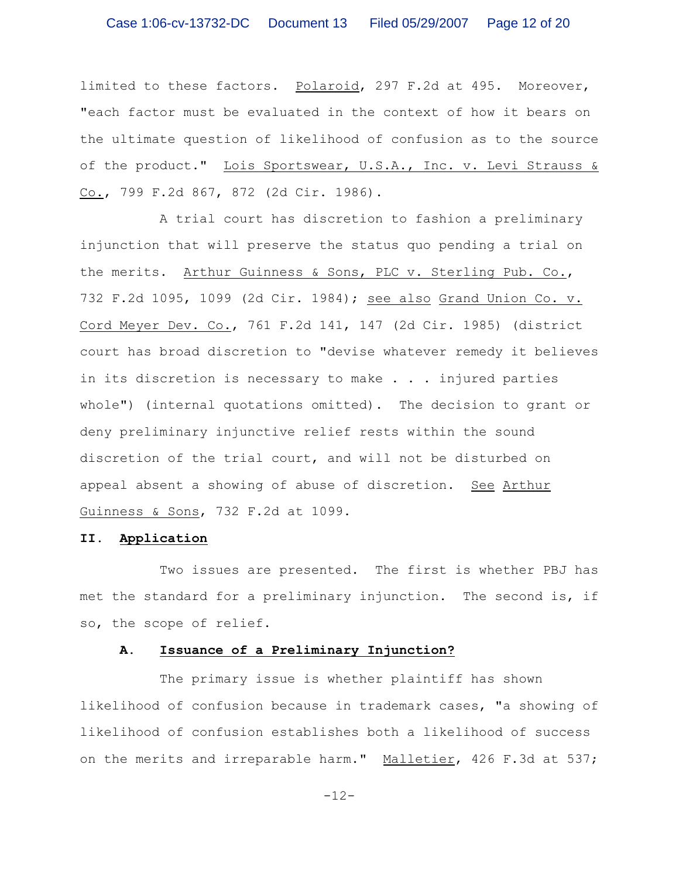limited to these factors. Polaroid, 297 F.2d at 495. Moreover, "each factor must be evaluated in the context of how it bears on the ultimate question of likelihood of confusion as to the source of the product." Lois Sportswear, U.S.A., Inc. v. Levi Strauss & Co., 799 F.2d 867, 872 (2d Cir. 1986).

A trial court has discretion to fashion a preliminary injunction that will preserve the status quo pending a trial on the merits. Arthur Guinness & Sons, PLC v. Sterling Pub. Co., 732 F.2d 1095, 1099 (2d Cir. 1984); see also Grand Union Co. v. Cord Meyer Dev. Co., 761 F.2d 141, 147 (2d Cir. 1985) (district court has broad discretion to "devise whatever remedy it believes in its discretion is necessary to make . . . injured parties whole") (internal quotations omitted). The decision to grant or deny preliminary injunctive relief rests within the sound discretion of the trial court, and will not be disturbed on appeal absent a showing of abuse of discretion. See Arthur Guinness & Sons, 732 F.2d at 1099.

### **II. Application**

Two issues are presented. The first is whether PBJ has met the standard for a preliminary injunction. The second is, if so, the scope of relief.

### **A. Issuance of a Preliminary Injunction?**

The primary issue is whether plaintiff has shown likelihood of confusion because in trademark cases, "a showing of likelihood of confusion establishes both a likelihood of success on the merits and irreparable harm." Malletier, 426 F.3d at 537;

-12-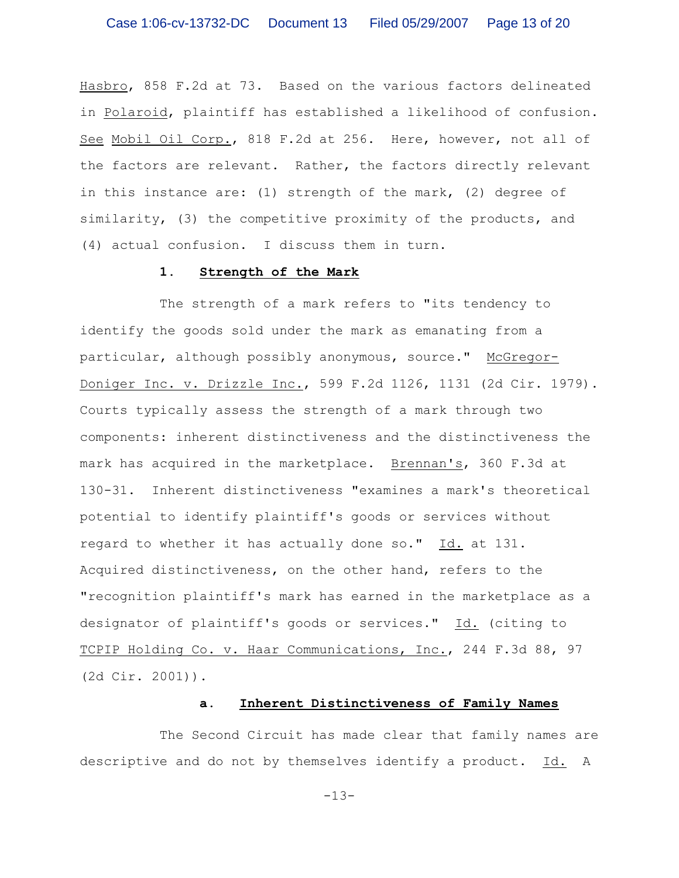Hasbro, 858 F.2d at 73. Based on the various factors delineated in Polaroid, plaintiff has established a likelihood of confusion. See Mobil Oil Corp., 818 F.2d at 256. Here, however, not all of the factors are relevant. Rather, the factors directly relevant in this instance are: (1) strength of the mark, (2) degree of similarity, (3) the competitive proximity of the products, and (4) actual confusion. I discuss them in turn.

#### **1. Strength of the Mark**

The strength of a mark refers to "its tendency to identify the goods sold under the mark as emanating from a particular, although possibly anonymous, source." McGregor-Doniger Inc. v. Drizzle Inc., 599 F.2d 1126, 1131 (2d Cir. 1979). Courts typically assess the strength of a mark through two components: inherent distinctiveness and the distinctiveness the mark has acquired in the marketplace. Brennan's, 360 F.3d at 130-31. Inherent distinctiveness "examines a mark's theoretical potential to identify plaintiff's goods or services without regard to whether it has actually done so." Id. at 131. Acquired distinctiveness, on the other hand, refers to the "recognition plaintiff's mark has earned in the marketplace as a designator of plaintiff's goods or services." Id. (citing to TCPIP Holding Co. v. Haar Communications, Inc., 244 F.3d 88, 97 (2d Cir. 2001)).

# **a. Inherent Distinctiveness of Family Names**

The Second Circuit has made clear that family names are descriptive and do not by themselves identify a product. Id. A

 $-13-$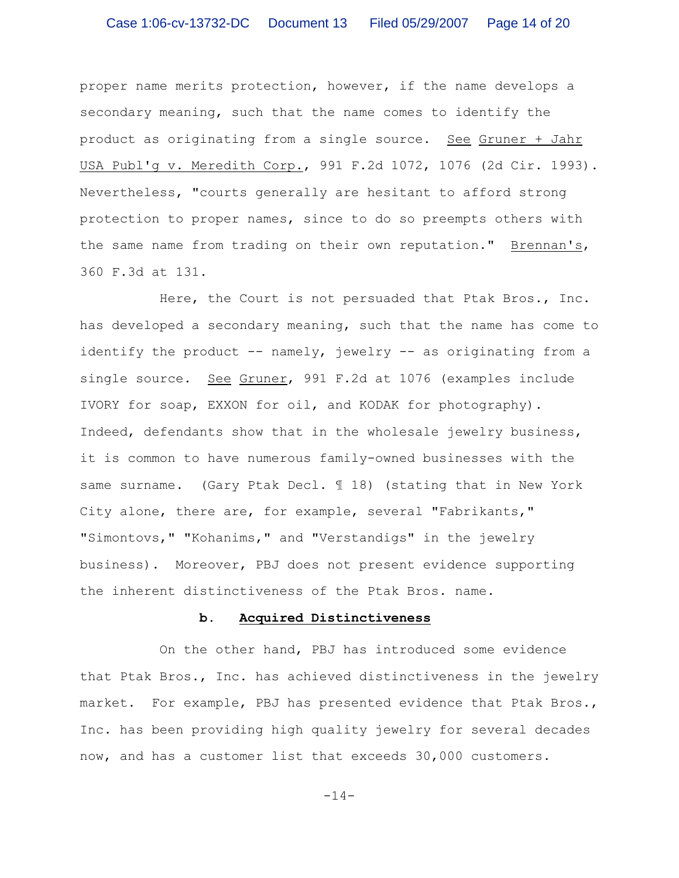proper name merits protection, however, if the name develops a secondary meaning, such that the name comes to identify the product as originating from a single source. See Gruner + Jahr USA Publ'g v. Meredith Corp., 991 F.2d 1072, 1076 (2d Cir. 1993). Nevertheless, "courts generally are hesitant to afford strong protection to proper names, since to do so preempts others with the same name from trading on their own reputation." Brennan's, 360 F.3d at 131.

Here, the Court is not persuaded that Ptak Bros., Inc. has developed a secondary meaning, such that the name has come to identify the product -- namely, jewelry -- as originating from a single source. See Gruner, 991 F.2d at 1076 (examples include IVORY for soap, EXXON for oil, and KODAK for photography). Indeed, defendants show that in the wholesale jewelry business, it is common to have numerous family-owned businesses with the same surname. (Gary Ptak Decl. 118) (stating that in New York City alone, there are, for example, several "Fabrikants," "Simontovs," "Kohanims," and "Verstandigs" in the jewelry business). Moreover, PBJ does not present evidence supporting the inherent distinctiveness of the Ptak Bros. name.

#### **b. Acquired Distinctiveness**

On the other hand, PBJ has introduced some evidence that Ptak Bros., Inc. has achieved distinctiveness in the jewelry market. For example, PBJ has presented evidence that Ptak Bros., Inc. has been providing high quality jewelry for several decades now, and has a customer list that exceeds 30,000 customers.

 $-14-$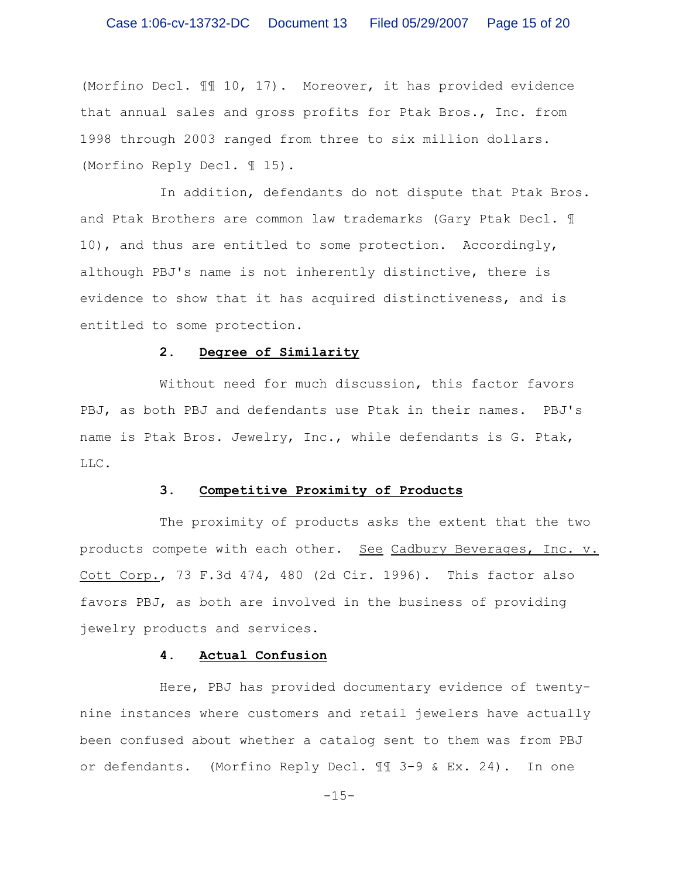(Morfino Decl. ¶¶ 10, 17). Moreover, it has provided evidence that annual sales and gross profits for Ptak Bros., Inc. from 1998 through 2003 ranged from three to six million dollars. (Morfino Reply Decl. ¶ 15).

In addition, defendants do not dispute that Ptak Bros. and Ptak Brothers are common law trademarks (Gary Ptak Decl. ¶ 10), and thus are entitled to some protection. Accordingly, although PBJ's name is not inherently distinctive, there is evidence to show that it has acquired distinctiveness, and is entitled to some protection.

#### **2. Degree of Similarity**

Without need for much discussion, this factor favors PBJ, as both PBJ and defendants use Ptak in their names. PBJ's name is Ptak Bros. Jewelry, Inc., while defendants is G. Ptak, LLC.

### **3. Competitive Proximity of Products**

The proximity of products asks the extent that the two products compete with each other. See Cadbury Beverages, Inc. v. Cott Corp., 73 F.3d 474, 480 (2d Cir. 1996). This factor also favors PBJ, as both are involved in the business of providing jewelry products and services.

#### **4. Actual Confusion**

Here, PBJ has provided documentary evidence of twentynine instances where customers and retail jewelers have actually been confused about whether a catalog sent to them was from PBJ or defendants. (Morfino Reply Decl. ¶¶ 3-9 & Ex. 24). In one

 $-15-$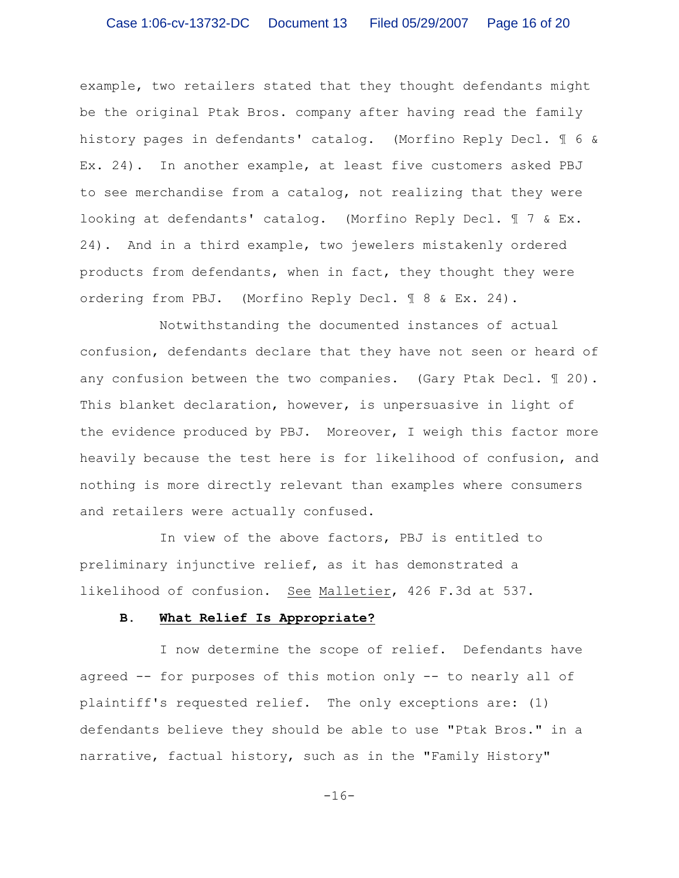example, two retailers stated that they thought defendants might be the original Ptak Bros. company after having read the family history pages in defendants' catalog. (Morfino Reply Decl. ¶ 6 & Ex. 24). In another example, at least five customers asked PBJ to see merchandise from a catalog, not realizing that they were looking at defendants' catalog. (Morfino Reply Decl. 17 & Ex. 24). And in a third example, two jewelers mistakenly ordered products from defendants, when in fact, they thought they were ordering from PBJ. (Morfino Reply Decl. ¶ 8 & Ex. 24).

Notwithstanding the documented instances of actual confusion, defendants declare that they have not seen or heard of any confusion between the two companies. (Gary Ptak Decl. 120). This blanket declaration, however, is unpersuasive in light of the evidence produced by PBJ. Moreover, I weigh this factor more heavily because the test here is for likelihood of confusion, and nothing is more directly relevant than examples where consumers and retailers were actually confused.

In view of the above factors, PBJ is entitled to preliminary injunctive relief, as it has demonstrated a likelihood of confusion. See Malletier, 426 F.3d at 537.

#### **B. What Relief Is Appropriate?**

I now determine the scope of relief. Defendants have agreed -- for purposes of this motion only -- to nearly all of plaintiff's requested relief. The only exceptions are: (1) defendants believe they should be able to use "Ptak Bros." in a narrative, factual history, such as in the "Family History"

 $-16-$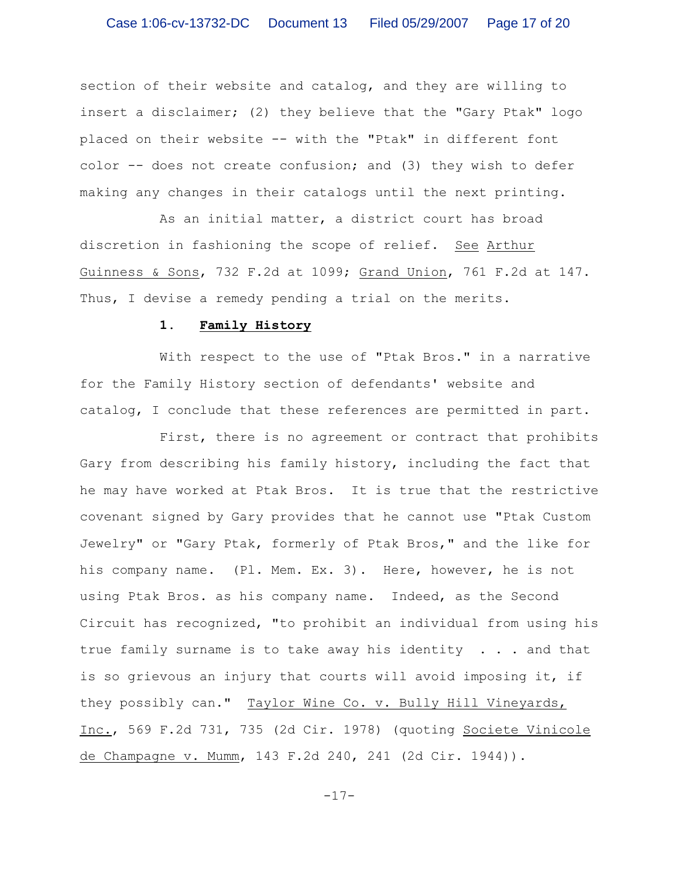section of their website and catalog, and they are willing to insert a disclaimer; (2) they believe that the "Gary Ptak" logo placed on their website -- with the "Ptak" in different font color -- does not create confusion; and (3) they wish to defer making any changes in their catalogs until the next printing.

As an initial matter, a district court has broad discretion in fashioning the scope of relief. See Arthur Guinness & Sons, 732 F.2d at 1099; Grand Union, 761 F.2d at 147. Thus, I devise a remedy pending a trial on the merits.

#### **1. Family History**

With respect to the use of "Ptak Bros." in a narrative for the Family History section of defendants' website and catalog, I conclude that these references are permitted in part.

First, there is no agreement or contract that prohibits Gary from describing his family history, including the fact that he may have worked at Ptak Bros. It is true that the restrictive covenant signed by Gary provides that he cannot use "Ptak Custom Jewelry" or "Gary Ptak, formerly of Ptak Bros," and the like for his company name. (Pl. Mem. Ex. 3). Here, however, he is not using Ptak Bros. as his company name. Indeed, as the Second Circuit has recognized, "to prohibit an individual from using his true family surname is to take away his identity . . . and that is so grievous an injury that courts will avoid imposing it, if they possibly can." Taylor Wine Co. v. Bully Hill Vineyards, Inc., 569 F.2d 731, 735 (2d Cir. 1978) (quoting Societe Vinicole de Champagne v. Mumm, 143 F.2d 240, 241 (2d Cir. 1944)).

-17-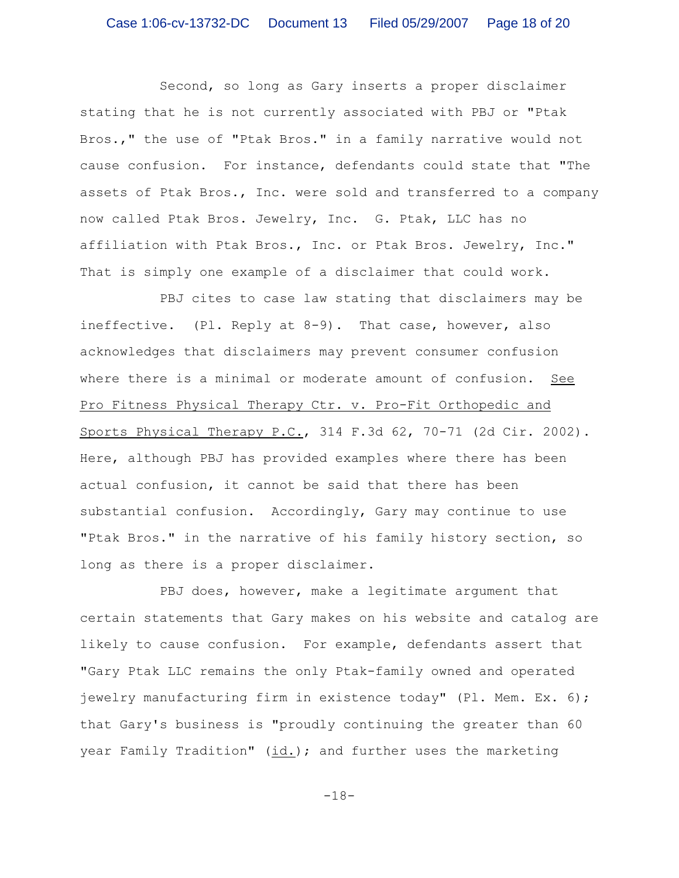Second, so long as Gary inserts a proper disclaimer stating that he is not currently associated with PBJ or "Ptak Bros.," the use of "Ptak Bros." in a family narrative would not cause confusion. For instance, defendants could state that "The assets of Ptak Bros., Inc. were sold and transferred to a company now called Ptak Bros. Jewelry, Inc. G. Ptak, LLC has no affiliation with Ptak Bros., Inc. or Ptak Bros. Jewelry, Inc." That is simply one example of a disclaimer that could work.

PBJ cites to case law stating that disclaimers may be ineffective. (Pl. Reply at 8-9). That case, however, also acknowledges that disclaimers may prevent consumer confusion where there is a minimal or moderate amount of confusion. See Pro Fitness Physical Therapy Ctr. v. Pro-Fit Orthopedic and Sports Physical Therapy P.C., 314 F.3d 62, 70-71 (2d Cir. 2002). Here, although PBJ has provided examples where there has been actual confusion, it cannot be said that there has been substantial confusion. Accordingly, Gary may continue to use "Ptak Bros." in the narrative of his family history section, so long as there is a proper disclaimer.

PBJ does, however, make a legitimate argument that certain statements that Gary makes on his website and catalog are likely to cause confusion. For example, defendants assert that "Gary Ptak LLC remains the only Ptak-family owned and operated jewelry manufacturing firm in existence today" (Pl. Mem. Ex. 6); that Gary's business is "proudly continuing the greater than 60 year Family Tradition" (id.); and further uses the marketing

-18-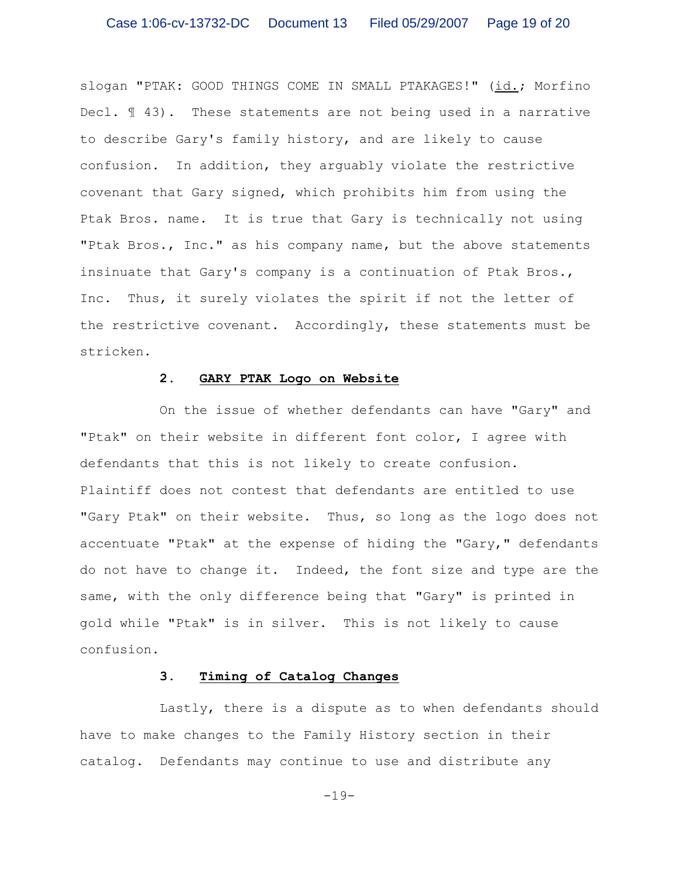slogan "PTAK: GOOD THINGS COME IN SMALL PTAKAGES!" (id.; Morfino Decl. ¶ 43). These statements are not being used in a narrative to describe Gary's family history, and are likely to cause confusion. In addition, they arguably violate the restrictive covenant that Gary signed, which prohibits him from using the Ptak Bros. name. It is true that Gary is technically not using "Ptak Bros., Inc." as his company name, but the above statements insinuate that Gary's company is a continuation of Ptak Bros., Inc. Thus, it surely violates the spirit if not the letter of the restrictive covenant. Accordingly, these statements must be stricken.

### **2. GARY PTAK Logo on Website**

On the issue of whether defendants can have "Gary" and "Ptak" on their website in different font color, I agree with defendants that this is not likely to create confusion. Plaintiff does not contest that defendants are entitled to use "Gary Ptak" on their website. Thus, so long as the logo does not accentuate "Ptak" at the expense of hiding the "Gary," defendants do not have to change it. Indeed, the font size and type are the same, with the only difference being that "Gary" is printed in gold while "Ptak" is in silver. This is not likely to cause confusion.

# **3. Timing of Catalog Changes**

Lastly, there is a dispute as to when defendants should have to make changes to the Family History section in their catalog. Defendants may continue to use and distribute any

 $-19-$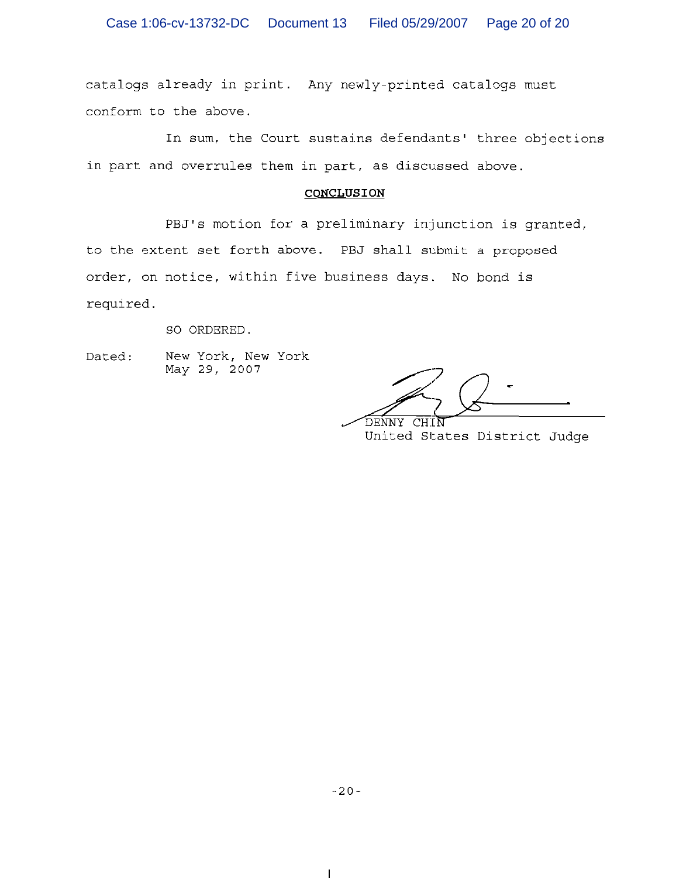catalogs already in print. Any newly-printed catalogs must conform to the above.

In sum, the Court sustains defendants' three objections in part and overrules them in part, as discussed above.

#### CONCLUSION

PBJ's motion for a preliminary injunction is granted, to the extent set forth above. PBJ shall submit a proposed order, on notice, within five business days. No bond is required.

SO ORDERED.

New York, New York Dated: May 29, 2007

DENNY

United States District Judge

 $\overline{\phantom{a}}$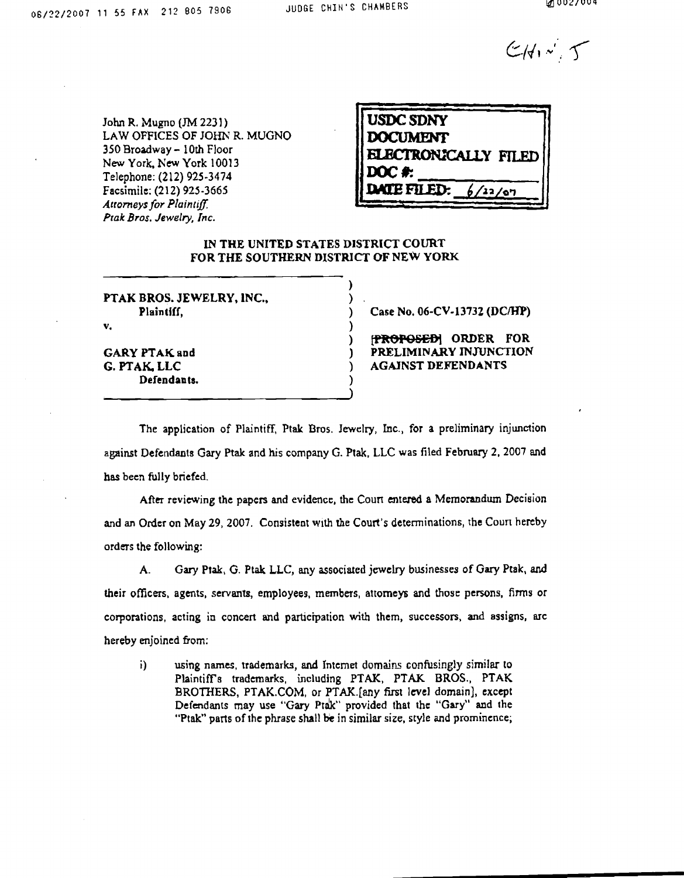$CH_{\lambda}$ 

John R. Mugno (JM 2231) LAW OFFICES OF JOHN R. MUGNO 350 Broadway - 10th Floor New York, New York 10013 Telephone: (212) 925-3474 Facsimile: (212) 925-3665 **Attorneys for Plaintiff.** Ptak Bros. Jewelry, Inc.

| <b>USDC SDNY</b>            |  |
|-----------------------------|--|
| <b>DOCUMENT</b>             |  |
| <b>ELECTRONICALLY FILED</b> |  |
| DOC #:                      |  |
| DATE FILED:<br>/22/67       |  |
|                             |  |

#### IN THE UNITED STATES DISTRICT COURT FOR THE SOUTHERN DISTRICT OF NEW YORK

PTAK BROS. JEWELRY, INC., Plaintiff,

 $\mathbf{v}_i$ 

**GARY PTAK and** G. PTAK, LLC Defendants. Case No. 06-CV-13732 (DC/HP)

FROPOSEDI ORDER FOR PRELIMINARY INJUNCTION **AGAINST DEFENDANTS** 

The application of Plaintiff, Ptak Bros. Jewelry, Inc., for a preliminary injunction against Defendants Gary Ptak and his company G. Ptak, LLC was filed February 2, 2007 and has been fully briefed.

After reviewing the papers and evidence, the Court entered a Memorandum Decision and an Order on May 29, 2007. Consistent with the Court's determinations, the Court hereby orders the following:

Gary Ptak, G. Ptak LLC, any associated jewelry businesses of Gary Ptak, and A. their officers, agents, servants, employees, members, attorneys and those persons, firms or corporations, acting in concert and participation with them, successors, and assigns, are hereby enjoined from:

 $i)$ using names, trademarks, and Internet domains confusingly similar to Plaintiff's trademarks, including PTAK, PTAK BROS., PTAK BROTHERS, PTAK.COM, or PTAK.[any first level domain], except Defendants may use "Gary Ptak" provided that the "Gary" and the "Ptak" parts of the phrase shall be in similar size, style and prominence;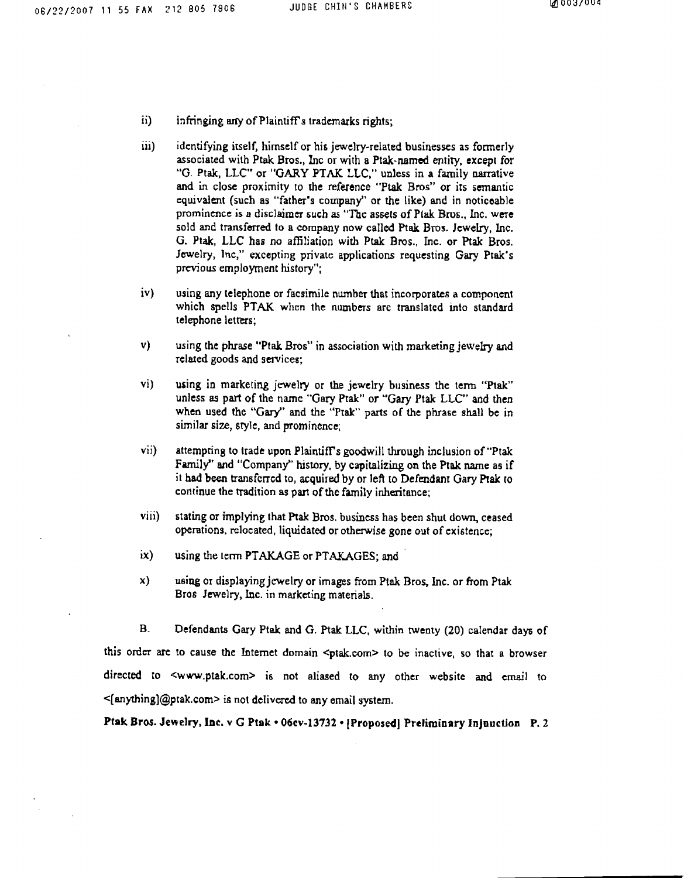- ii) infringing any of Plaintiff's trademarks rights;
- iii) identifying itself, himself or his jewelry-related businesses as formerly associated with Ptak Bros., Inc or with a Ptak-named entity, except for "G. Ptak, LLC" or "GARY PTAK LLC," unless in a family narrative and in close proximity to the reference "Ptak Bros" or its semantic equivalent (such as "father's company" or the like) and in noticeable prominence is a disclaimer such as "The assets of Ptak Bros., Inc. were sold and transferred to a company now called Ptak Bros. Jewelry, Inc. G. Ptak, LLC has no affiliation with Ptak Bros., Inc. or Ptak Bros. Jewelry, Inc," excepting private applications requesting Gary Ptak's previous employment history";
- $iv)$ using any telephone or facsimile number that incorporates a component which spells PTAK when the numbers are translated into standard telephone letters;
- $\mathbf{v}$ using the phrase "Ptak Bros" in association with marketing jewelry and related goods and services;
- $\mathbf{vi}$ using in marketing jewelry or the jewelry business the term "Ptak" unless as part of the name "Gary Ptak" or "Gary Ptak LLC" and then when used the "Gary" and the "Ptak" parts of the phrase shall be in similar size, style, and prominence;
- vii) attempting to trade upon Plaintiff's goodwill through inclusion of "Ptak Family" and "Company" history, by capitalizing on the Ptak name as if it had been transferred to, acquired by or left to Defendant Gary Ptak to continue the tradition as part of the family inheritance;
- viii) stating or implying that Ptak Bros. business has been shut down, ceased operations, relocated, liquidated or otherwise gone out of existence;
- $ix)$ using the term PTAKAGE or PTAKAGES; and
- $\mathbf{x}$ using or displaying jewelry or images from Ptak Bros, Inc. or from Ptak Bros Jewelry, Inc. in marketing materials.

**B.** Defendants Gary Ptak and G. Ptak LLC, within twenty (20) calendar days of this order are to cause the Internet domain <ptak.com> to be inactive, so that a browser directed to <www.ptak.com> is not aliased to any other website and email to  $\leq$  [anything]@ptak.com> is not delivered to any email system.

Ptak Bros. Jewelry, Inc. v G Ptak . 06cv-13732 . [Proposed] Preliminary Injunction P. 2